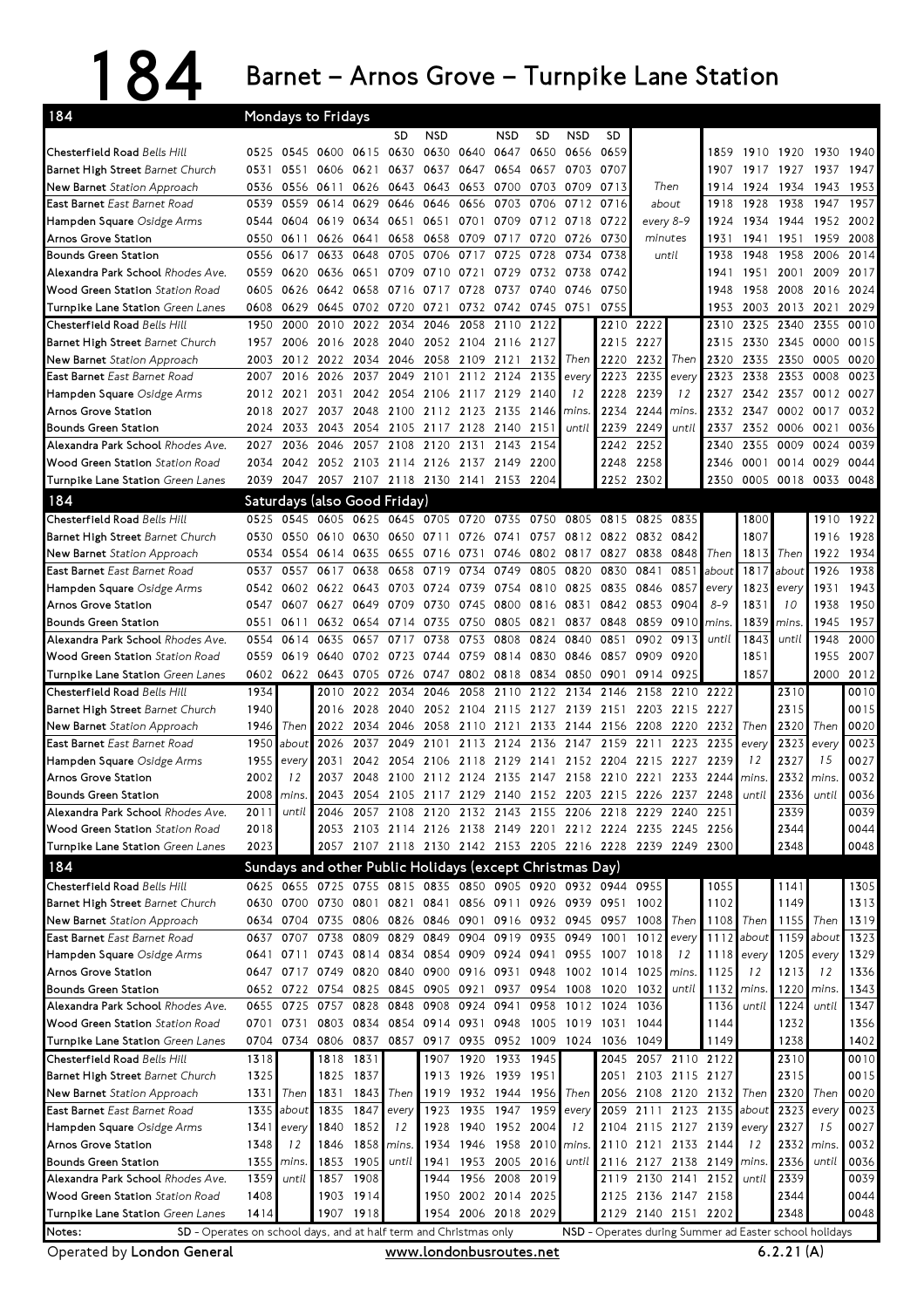## 184 Barnet – Arnos Grove – Turnpike Lane Station

| 184                                                                  |              | Mondays to Fridays           |                                                             |                        |                     |                          |                                              |                     |                |                                                                  |                |                |                                                             |                     |            |                |                          |                                      |
|----------------------------------------------------------------------|--------------|------------------------------|-------------------------------------------------------------|------------------------|---------------------|--------------------------|----------------------------------------------|---------------------|----------------|------------------------------------------------------------------|----------------|----------------|-------------------------------------------------------------|---------------------|------------|----------------|--------------------------|--------------------------------------|
|                                                                      |              |                              |                                                             |                        | SD                  | NSD                      |                                              | NSD                 | <b>SD</b>      | <b>NSD</b>                                                       | SD.            |                |                                                             |                     |            |                |                          |                                      |
| Chesterfield Road Bells Hill                                         |              | 0525 0545 0600 0615 0630     |                                                             |                        |                     |                          | 0630 0640 0647                               |                     | 0650           | 0656                                                             | 0659           |                |                                                             |                     |            |                | 1859 1910 1920 1930 1940 |                                      |
| Barnet High Street Barnet Church                                     | 0531         | 0551 0606                    |                                                             | 0621                   | 0637                |                          | 0637 0647 0654 0657                          |                     |                | 0703                                                             | 0707           |                |                                                             | 1907                |            | 1917 1927 1937 |                          | 1947                                 |
| New Barnet Station Approach                                          | 0536         | 0556 0611                    |                                                             | 0626                   |                     | 0643 0643                | 0653                                         | 0700                | 0703           | 0709                                                             | 0713           | Then           |                                                             | 1914                | 1924       | 1934           | 1943                     | 1953                                 |
| East Barnet East Barnet Road                                         | 0539         |                              | 0559 0614 0629                                              |                        |                     | 0646 0646                | 0656                                         | 0703 0706           |                | 0712                                                             | 0716           | about          |                                                             | 1918                | 1928       | 1938           | 1947                     | 1957                                 |
| Hampden Square Osidge Arms                                           | 0544         | 0604                         | 0619                                                        | 0634                   |                     | 0651 0651                | 0701                                         | 0709                | 0712           | 0718                                                             | 0722           | every 8-9      |                                                             | 1924                | 1934       | 1944           | 1952                     | 2002                                 |
| Arnos Grove Station                                                  | 0550         | 0611                         | 0626                                                        | 0641                   | 0658                | 0658                     | 0709                                         | 0717 0720           |                | 0726                                                             | 0730           | minutes        |                                                             | 1931                | 1941       | 1951           | 1959                     | 2008                                 |
| <b>Bounds Green Station</b>                                          | 0556         | 0617                         | 0633                                                        | 0648                   |                     | 0705 0706                | 0717                                         | 0725 0728           |                |                                                                  | 0734 0738      | until          |                                                             | 1938                | 1948       | 1958           | 2006                     | 2014                                 |
| Alexandra Park School Rhodes Ave.                                    | 0559         | 0620 0636                    |                                                             | 0651                   |                     | 0709 0710                | 0721                                         |                     | 0729 0732 0738 |                                                                  | 0742           |                |                                                             | 1941                | 1951       |                | 2001 2009 2017           |                                      |
| <b>Wood Green Station Station Road</b>                               | 0605         |                              | 0626 0642                                                   | 0658                   |                     | 0716 0717 0728           |                                              |                     | 0737 0740      | 0746                                                             | 0750           |                |                                                             | 1948                | 1958       | 2008           | 2016                     | 2024                                 |
| Turnpike Lane Station Green Lanes                                    | 0608         | 0629                         |                                                             |                        | 0645 0702 0720 0721 |                          |                                              | 0732 0742 0745 0751 |                |                                                                  | 0755           |                |                                                             | 1953                |            | 2003 2013 2021 |                          | 2029                                 |
| Chesterfield Road Bells Hill                                         | 1950         | 2000                         | 2010                                                        | 2022                   |                     | 2034 2046                | 2058                                         | 2110 2122           |                |                                                                  |                | 2210 2222      |                                                             | 2310                |            | 2325 2340 2355 |                          | 0010                                 |
| Barnet High Street Barnet Church                                     | 1957         | 2006                         | 2016                                                        | 2028                   |                     |                          | 2040 2052 2104 2116 2127                     |                     |                |                                                                  | 2215           | 2227           |                                                             | 2315                |            | 2330 2345      | 0000                     | 0015                                 |
| New Barnet Station Approach                                          | 2003         | 2012 2022                    |                                                             | 2034                   |                     | 2046 2058 2109           |                                              | 2121                | 21321          | Then                                                             | 2220           | 2232           | Then                                                        | 2320                | 2335       | 2350           | 0005                     | 0020                                 |
| East Barnet East Barnet Road                                         | 2007         | 2016                         | 2026                                                        | 2037                   |                     | 2049 2101                |                                              | 2112 2124           | 2135           | every                                                            | 2223           | 2235           | every                                                       | 2323                | 2338       | 2353           | 0008                     | 0023                                 |
| Hampden Square Osidge Arms                                           |              | 2012 2021                    |                                                             |                        |                     |                          | 2031 2042 2054 2106 2117 2129 2140           |                     |                | 12                                                               | 2228           | 2239           | 12                                                          | 2327                |            |                | 2342 2357 0012 0027      |                                      |
| Arnos Grove Station                                                  | 2018         | 2027                         |                                                             | 2037 2048              |                     | 2100 2112 2123           |                                              | 2135 2146           |                | mins.                                                            | 2234           | 2244           | mins.                                                       | 2332                | 2347 0002  |                | 0017                     | 0032                                 |
| <b>Bounds Green Station</b>                                          | 2024         | 2033 2043                    |                                                             |                        |                     |                          | 2054 2105 2117 2128 2140 2151                |                     |                | until                                                            | 2239           | 2249           | until                                                       | 2337                |            | 2352 0006      | 0021                     | 0036                                 |
| Alexandra Park School Rhodes Ave.                                    | 2027         | 2036                         | 2046                                                        | 2057                   | 2108                | 2120                     | 2131                                         |                     | 2143 2154      |                                                                  | 2242           | 2252           |                                                             | 2340                | 2355       | 0009           | 0024                     | 0039                                 |
| Wood Green Station Station Road                                      | 2034         |                              |                                                             |                        |                     |                          | 2042 2052 2103 2114 2126 2137 2149 2200      |                     |                |                                                                  |                | 2248 2258      |                                                             | 2346                |            | 0001 0014 0029 |                          | 0044                                 |
| Turnpike Lane Station Green Lanes                                    | 2039         | 2047                         |                                                             |                        |                     | 2057 2107 2118 2130 2141 |                                              |                     | 2153 2204      |                                                                  | 2252           | 2302           |                                                             | 2350                |            |                | 0005 0018 0033 0048      |                                      |
| 184                                                                  |              | Saturdays (also Good Friday) |                                                             |                        |                     |                          |                                              |                     |                |                                                                  |                |                |                                                             |                     |            |                |                          |                                      |
| Chesterfield Road Bells Hill                                         | 0525         | 0545                         | 0605                                                        | 0625                   | 0645                |                          | 0705 0720                                    | 0735                | 0750           | 0805                                                             | 0815           | 0825           | 0835                                                        |                     | 1800       |                |                          | 1910 1922                            |
| Barnet High Street Barnet Church                                     | 0530         |                              | 0550 0610                                                   | 0630                   |                     | 0650 0711 0726           |                                              |                     |                | 0741 0757 0812 0822 0832                                         |                |                | 0842                                                        |                     | 1807       |                | 1916                     | 1928                                 |
| New Barnet Station Approach                                          | 0534         |                              | 0554 0614 0635                                              |                        | 0655 0716           |                          | 0731                                         |                     |                | 0746 0802 0817 0827                                              |                | 0838           | 0848                                                        | Then                | 1813       | Then           | 1922                     | 1934                                 |
| East Barnet East Barnet Road                                         | 0537         | 0557                         | 0617                                                        | 0638                   |                     | 0658 0719                | 0734                                         | 0749                | 0805           | 0820                                                             | 0830           | 0841           | 0851                                                        | about               | 1817       | about          | 1926                     | 1938                                 |
| Hampden Square Osidge Arms                                           | 0542         | 0602 0622                    |                                                             | 0643                   |                     | 0703 0724                | 0739                                         | 0754 0810           |                | 0825                                                             | 0835           | 0846           | 0857                                                        | every               | 1823       | every          | 1931                     | 1943                                 |
| Arnos Grove Station                                                  | 0547         |                              | 0607 0627 0649                                              |                        | 0709 0730           |                          | 0745                                         | 0800 0816           |                | 0831                                                             |                | 0842 0853      | 0904                                                        | $8 - 9$             | 1831       | 10             | 1938                     | 1950                                 |
| <b>Bounds Green Station</b>                                          | 0551         | 0611                         | 0632                                                        | 0654                   | 0714                | 0735                     | 0750                                         | 0805 0821           |                | 0837                                                             | 0848           | 0859           | 0910                                                        | mins.               | 1839       | mins.          | 1945                     | 1957                                 |
| Alexandra Park School Rhodes Ave.                                    | 0554         | 0614                         | 0635                                                        | 0657                   | 0717                | 0738                     | 0753                                         | 0808                | 0824           | 0840                                                             | 0851           | 0902           | 0913                                                        | until               | 1843       | until          | 1948                     | 2000                                 |
| <b>Wood Green Station</b> Station Road                               | 0559         | 0619 0640                    |                                                             |                        | 0702 0723 0744      |                          | 0759                                         | 0814 0830           |                | 0846                                                             | 0857           | 0909           | 0920                                                        |                     | 1851       |                | 1955 2007                |                                      |
| Turnpike Lane Station Green Lanes                                    |              |                              |                                                             |                        |                     |                          | 0602 0622 0643 0705 0726 0747 0802 0818 0834 |                     |                |                                                                  | 0850 0901      | 0914           | 0925                                                        |                     | 1857       |                |                          | 2000 2012                            |
| Chesterfield Road Bells Hill                                         | 1934         |                              | 2010                                                        | 2022                   | 2034                | 2046                     | 2058                                         |                     |                | 2110 2122 2134 2146                                              |                | 2158           | 2210 2222                                                   |                     |            | 2310           |                          | 0010                                 |
| Barnet High Street Barnet Church                                     | 1940         |                              | 2016                                                        | 2028                   |                     |                          |                                              |                     |                | 2040 2052 2104 2115 2127 2139 2151 2203                          |                |                | 2215                                                        | 2227                |            | 2315           |                          | 0015                                 |
| New Barnet Station Approach                                          | 1946         | Then                         | 2022                                                        |                        |                     |                          |                                              |                     |                | 2034 2046 2058 2110 2121 2133 2144 2156 2208                     |                |                | 2220                                                        | 2232                | Then       | 2320           | Then                     | 0020                                 |
| East Barnet East Barnet Road                                         | 1950         | about                        | 2026                                                        | 2037                   | 2049                | 2101                     | 2113                                         |                     | 2124 2136      | 2147                                                             | 2159           | 2211           | 2223                                                        | 2235                | every      | 2323           | every                    | 0023                                 |
| Hampden Square Osidge Arms                                           | 1955         | every                        | 2031                                                        |                        |                     |                          |                                              |                     |                | 2042 2054 2106 2118 2129 2141 2152 2204 2215                     |                |                | 2227                                                        | 2239                | 12         | 2327           | 15                       | 0027                                 |
| Arnos Grove Station                                                  | 2002         | 12                           | 2037                                                        |                        |                     |                          |                                              |                     |                |                                                                  |                |                | 2048 2100 2112 2124 2135 2147 2158 2210 2221 2233 2244      |                     | mins.      |                | 2332 mins.               | 0032                                 |
| Bounds Green Station                                                 | 2008         | mins.                        | 2043                                                        |                        |                     |                          |                                              |                     |                |                                                                  |                |                | 2054 2105 2117 2129 2140 2152 2203 2215 2226 2237 2248      |                     | until      | 2336           | until                    | 0036                                 |
| Alexandra Park School Rhodes Ave.                                    | 2011         | until                        |                                                             |                        |                     |                          |                                              |                     |                |                                                                  |                |                | 2046 2057 2108 2120 2132 2143 2155 2206 2218 2229 2240 2251 |                     |            | 2339           |                          | 0039                                 |
| Wood Green Station Station Road                                      | 2018         |                              |                                                             |                        |                     |                          |                                              |                     |                |                                                                  |                |                | 2053 2103 2114 2126 2138 2149 2201 2212 2224 2235 2245 2256 |                     |            | 2344           |                          | 0044                                 |
| Turnpike Lane Station Green Lanes                                    | 2023         |                              |                                                             |                        |                     |                          |                                              |                     |                |                                                                  |                |                | 2057 2107 2118 2130 2142 2153 2205 2216 2228 2239 2249 2300 |                     |            | 2348           |                          | 0048                                 |
| 184                                                                  |              |                              |                                                             |                        |                     |                          |                                              |                     |                | Sundays and other Public Holidays (except Christmas Day)         |                |                |                                                             |                     |            |                |                          |                                      |
| Chesterfield Road Bells Hill                                         |              |                              |                                                             |                        |                     |                          |                                              |                     |                | 0625 0655 0725 0755 0815 0835 0850 0905 0920 0932 0944 0955      |                |                |                                                             | 1055                |            | 1141           |                          | 1305                                 |
| Barnet High Street Barnet Church                                     |              | 0630 0700 0730 0801          |                                                             |                        |                     |                          |                                              |                     |                | 0821 0841 0856 0911 0926 0939 0951                               |                | 1002           |                                                             | 1102                |            | 1149           |                          | 1313                                 |
| New Barnet Station Approach                                          |              |                              |                                                             |                        |                     |                          |                                              |                     |                | 0634 0704 0735 0806 0826 0846 0901 0916 0932 0945 0957 1008 Then |                |                |                                                             |                     | 1108 Then  | 1155 Then      |                          | 1319                                 |
| East Barnet East Barnet Road                                         |              | 0637 0707                    |                                                             |                        |                     |                          |                                              |                     |                | 0738 0809 0829 0849 0904 0919 0935 0949 1001                     |                |                | $1012$ every                                                |                     | 1112 about |                | 1159 about               | 1323                                 |
| Hampden Square Osidge Arms                                           |              | 0641 0711                    |                                                             |                        |                     |                          | 0743 0814 0834 0854 0909 0924 0941           |                     |                |                                                                  | 0955 1007 1018 |                | 12                                                          |                     | 1118 every |                | 1205 every               | 1329                                 |
| Arnos Grove Station                                                  |              |                              |                                                             |                        |                     |                          | 0647 0717 0749 0820 0840 0900 0916 0931 0948 |                     |                |                                                                  |                | 1002 1014 1025 | mins.                                                       | 1125                | 12         | 1213           | 12                       | 1336                                 |
| <b>Bounds Green Station</b>                                          |              | 0652 0722 0754 0825          |                                                             |                        |                     | 0845 0905 0921           |                                              |                     | 0937 0954      |                                                                  |                | 1008 1020 1032 | until                                                       | 1132                | mins.      |                | 1220 mins.               | 1343                                 |
| Alexandra Park School Rhodes Ave.                                    |              | 0655 0725 0757 0828          |                                                             |                        |                     | 0848 0908                |                                              | 0924 0941           | 0958           |                                                                  | 1012 1024 1036 |                |                                                             | 1136                | until      | 1224           | until                    | 1347                                 |
| Wood Green Station Station Road                                      |              |                              |                                                             |                        |                     |                          | 0701 0731 0803 0834 0854 0914 0931 0948 1005 |                     |                |                                                                  | 1019 1031 1044 |                |                                                             | 1144                |            | 1232           |                          | 1356                                 |
|                                                                      |              |                              |                                                             |                        |                     |                          |                                              |                     |                |                                                                  |                |                |                                                             | 1149                |            | 1238           |                          | 1402                                 |
|                                                                      |              |                              |                                                             |                        |                     |                          |                                              |                     |                |                                                                  |                |                |                                                             |                     |            |                |                          | 0010                                 |
| Turnpike Lane Station Green Lanes                                    |              |                              | 0704 0734 0806 0837 0857 0917 0935 0952 1009 1024 1036 1049 |                        |                     |                          |                                              |                     |                |                                                                  |                |                |                                                             |                     |            |                |                          |                                      |
| Chesterfield Road Bells Hill                                         | 1318         |                              |                                                             | 1818 1831              |                     |                          | 1907 1920 1933 1945                          |                     |                |                                                                  |                |                |                                                             | 2045 2057 2110 2122 |            | 2310           |                          |                                      |
| Barnet High Street Barnet Church                                     | 1325         |                              |                                                             | 1825 1837              |                     |                          | 1913 1926 1939 1951                          |                     |                |                                                                  |                |                | 2051 2103 2115 2127                                         |                     |            | 2315           |                          |                                      |
| New Barnet Station Approach                                          | 1331         | Then                         |                                                             | 1831 1843              | Then                |                          | 1919 1932 1944 1956                          |                     |                | Then                                                             |                |                | 2056 2108 2120 2132 Then                                    |                     |            | 2320 Then      |                          |                                      |
| East Barnet East Barnet Road                                         | 1335         | about                        |                                                             | 1835 1847              | every<br>12         | 1923                     |                                              | 1935 1947 1959      |                | every                                                            |                |                | 2059 2111 2123 2135 about                                   |                     |            | 2323           | every                    |                                      |
| Hampden Square Osidge Arms                                           | 1341         | every                        | 1840                                                        | 1852                   |                     | 1928                     |                                              | 1940 1952 2004      |                | 12                                                               |                |                | 2104 2115 2127 2139 every                                   |                     |            | 2327           | 15                       |                                      |
| Arnos Grove Station                                                  | 1348         | 12                           |                                                             | 1846 1858 mins.        |                     | 1934                     |                                              | 1946 1958 2010      |                | mins.                                                            |                |                | 2110 2121 2133 2144                                         |                     | 12         | 2332 mins      |                          | 0015<br>0020<br>0023<br>0027<br>0032 |
| <b>Bounds Green Station</b>                                          | 1355         | mins.                        |                                                             | 1853 1905              | until               | 1941                     |                                              | 1953 2005 2016      |                | until                                                            |                |                | 2116 2127 2138 2149 mins.                                   |                     |            | 2336           | until                    | 0036                                 |
| Alexandra Park School Rhodes Ave.                                    | 1359         | until                        |                                                             | 1857 1908              |                     | 1944                     |                                              | 1956 2008 2019      |                |                                                                  |                |                | 2119 2130 2141                                              | 2152                | until      | 2339           |                          | 0039<br>0044                         |
| Wood Green Station Station Road<br>Turnpike Lane Station Green Lanes | 1408<br>1414 |                              |                                                             | 1903 1914<br>1907 1918 |                     |                          | 1950 2002 2014 2025<br>1954 2006 2018 2029   |                     |                |                                                                  |                |                | 2125 2136 2147 2158<br>2129 2140 2151 2202                  |                     |            | 2344<br>2348   |                          | 0048                                 |

Operated by London General www.londonbusroutes.net 6.2.21 (A)